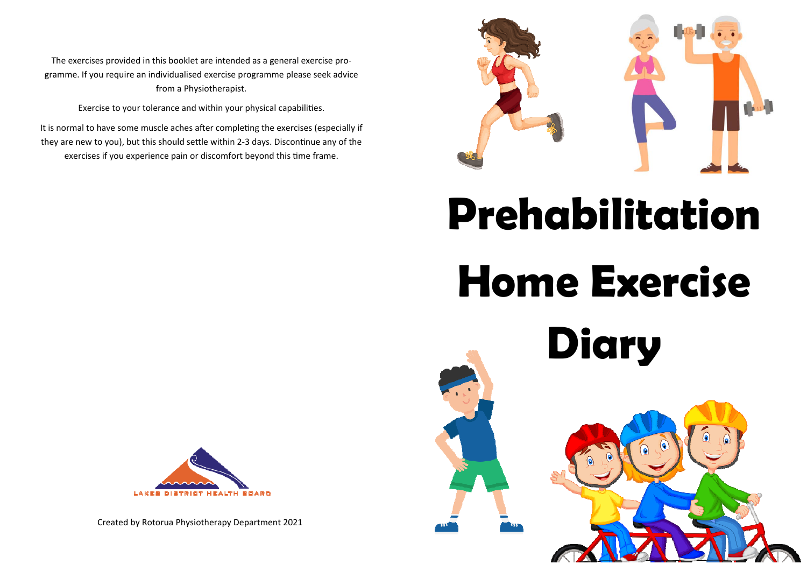The exercises provided in this booklet are intended as a general exercise pro‐ gramme. If you require an individualised exercise programme please seek advice from a Physiotherapist.

Exercise to your tolerance and within your physical capabilities.

It is normal to have some muscle aches after completing the exercises (especially if they are new to you), but this should settle within 2-3 days. Discontinue any of the exercises if you experience pain or discomfort beyond this time frame.



# **Prehabilitation Home Exercise Diary**



Created by Rotorua Physiotherapy Department 2021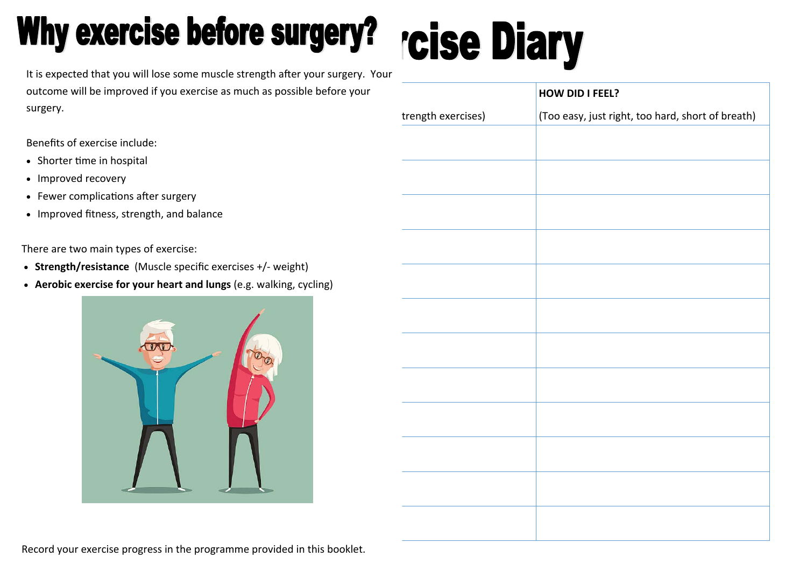# Why exercise before surgery?

# **rcise Diary**

It is expected that you will lose some muscle strength after your surgery. Your outcome will be improved if you exercise as much as possible before your surgery.

Benefits of exercise include:

- Shorter time in hospital
- Improved recovery
- Fewer complications after surgery
- Improved fitness, strength, and balance

There are two main types of exercise:

- **Strength/resistance** (Muscle specific exercises +/‐ weight)
- **Aerobic exercise for your heart and lungs** (e.g. walking, cycling)



|                    | HOW DID I FEEL?                                   |
|--------------------|---------------------------------------------------|
| trength exercises) | (Too easy, just right, too hard, short of breath) |
|                    |                                                   |
|                    |                                                   |
|                    |                                                   |
|                    |                                                   |
|                    |                                                   |
|                    |                                                   |
|                    |                                                   |
|                    |                                                   |
|                    |                                                   |
|                    |                                                   |
|                    |                                                   |
|                    |                                                   |
|                    |                                                   |

Record your exercise progress in the programme provided in this booklet.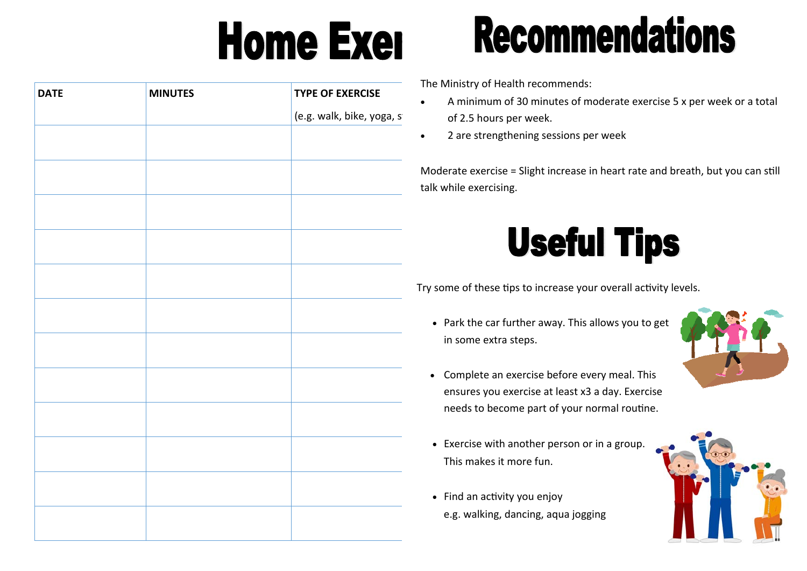# **Home Exer**

# **DATE MINUTES TYPE OF EXERCISE**  (e.g. walk, bike, yoga, st

# **Recommendations**

The Ministry of Health recommends:

- $\bullet$  A minimum of 30 minutes of moderate exercise 5 x per week or a total of 2.5 hours per week.
- $\bullet$ 2 are strengthening sessions per week

Moderate exercise = Slight increase in heart rate and breath, but you can still talk while exercising.

# **Useful Tips**

Try some of these tips to increase your overall activity levels.

 Park the car further away. This allows you to get in some extra steps.



- Complete an exercise before every meal. This ensures you exercise at least x3 a day. Exercise needs to become part of your normal routine.
- Exercise with another person or in a group. This makes it more fun.
- Find an activity you enjoy e.g. walking, dancing, aqua jogging

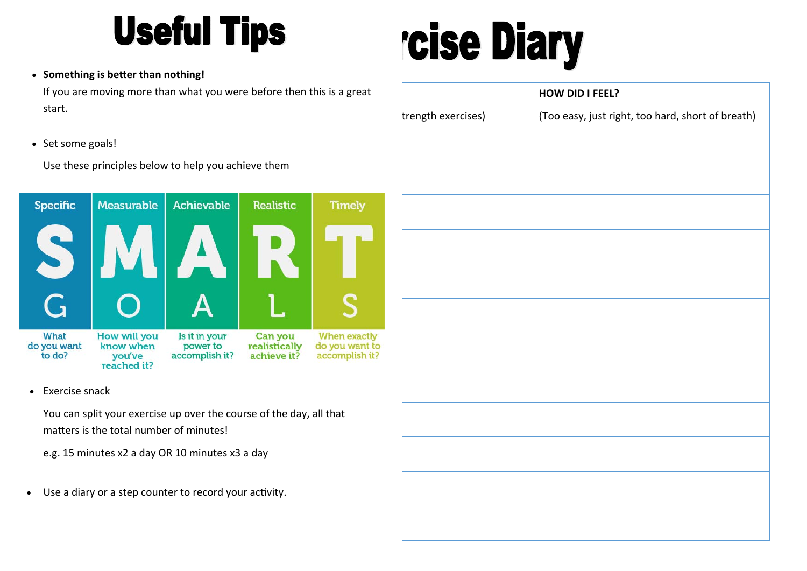# **Useful Tips**

# rcise Diary

### **Something is better than nothing!**

If you are moving more than what you were before then this is a great start.

• Set some goals!

Use these principles below to help you achieve them



Exercise snack

 You can split your exercise up over the course of the day, all that matters is the total number of minutes!

e.g. 15 minutes x2 a day OR 10 minutes x3 a day

 $\bullet$ Use a diary or a step counter to record your activity.

|                    | HOW DID I FEEL?                                   |
|--------------------|---------------------------------------------------|
| trength exercises) | (Too easy, just right, too hard, short of breath) |
|                    |                                                   |
|                    |                                                   |
|                    |                                                   |
|                    |                                                   |
|                    |                                                   |
|                    |                                                   |
|                    |                                                   |
|                    |                                                   |
|                    |                                                   |
|                    |                                                   |
|                    |                                                   |
|                    |                                                   |
|                    |                                                   |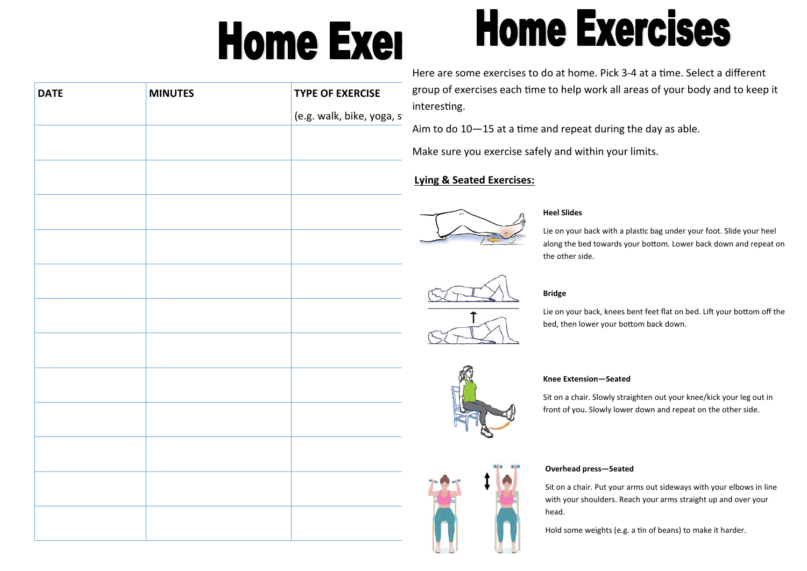# **Home Exer**

# **Home Exercises**

| <b>DATE</b> | <b>MINUTES</b> | <b>TYPE OF EXERCISE</b>   |  |
|-------------|----------------|---------------------------|--|
|             |                | (e.g. walk, bike, yoga, s |  |
|             |                |                           |  |
|             |                |                           |  |
|             |                |                           |  |
|             |                |                           |  |
|             |                |                           |  |
|             |                |                           |  |
|             |                |                           |  |
|             |                |                           |  |
|             |                |                           |  |
|             |                |                           |  |
|             |                |                           |  |
|             |                |                           |  |
|             |                |                           |  |
|             |                |                           |  |
|             |                |                           |  |
|             |                |                           |  |
|             |                |                           |  |
|             |                |                           |  |
|             |                |                           |  |

Here are some exercises to do at home. Pick 3-4 at a time. Select a different up of exercises each time to help work all areas of your body and to keep it resting.

to do  $10-15$  at a time and repeat during the day as able.

ke sure you exercise safely and within your limits.

### **Lying & Seated Exercises:**



### **Heel Slides**

Lie on your back with a plastic bag under your foot. Slide your heel along the bed towards your bottom. Lower back down and repeat on the other side.

### **Bridge**

Lie on your back, knees bent feet flat on bed. Lift your bottom off the bed, then lower your bottom back down.

### **Knee Extension—Seated**

Sit on a chair. Slowly straighten out your knee/kick your leg out in front of you. Slowly lower down and repeat on the other side.

### **Overhead press—Seated**

Sit on a chair. Put your arms out sideways with your elbows in line with your shoulders. Reach your arms straight up and over your head.

Hold some weights (e.g. a tin of beans) to make it harder.